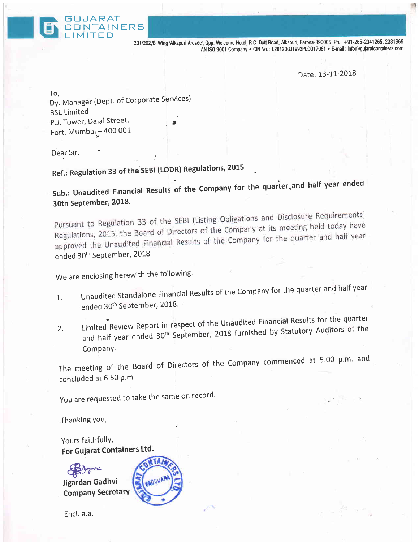201/202,'B'Wing'Alkapuri Arcade', Opp. Welcome Hotel, R.C. Dutt Road, Alkapuri, Baroda-390005, Ph.: +91-265-2341265, 2331965 AN ISO 9001 Company · CIN No.: L28120GJ1992PLC017081 · E-mail: info@gujaratcontainers.com

Date: 13-11-2018

Light Weisen.

To, Dy. Manager (Dept. of Corporate Services) BSE Limited P.J. Tower, Dalal Street, ' Fort, Mumbai $-$ 400 001

GUJARAT<br>CONTAINERS

Dear Sir,

## Ref.: Regulation 33 of the SEBI (LODR) Regulations, 2015

:

Sub.: Unaudited Financial Results of the Company for the quarter.and half year ended 30th September, 2018.

Pursuant to Regulation 33 of the SEBI (Listing Obligations and Disclosure Requirements) Pursuant to Regulation 33 of the SEBI (Listing Obligations and Education Pursuant to Regulations, 2015, the Board of Directors of the Company at its meeting held today have Regulations, 2015, the Board of Directors of the Company at he was approved the Unaudited Financial Results of the Company for the quarter and half year ended 30<sup>th</sup> September, 2018

We are enclosing herewith the following.

- 1. Unaudited Standalone Financial Results of the Company for the quarter and half year ended 30<sup>th</sup> September, 2018.
- Limited Review Report in respect of the Unaudited Financial Results for the quarter 2. Limited Review Report in respect of the Onduanced Theones<br>and half year ended 30<sup>th</sup> September, 2018 furnished by Statutory Auditors of the Company.

The meeting of the Board of Directors of the Company commenced at 5.00 p.m. and concluded at 6.50 p.m.

You are requested to take the same on record.

Thanking You,

Yours faithfullY, For Gujarat Containers Ltd.





Encl. a.a.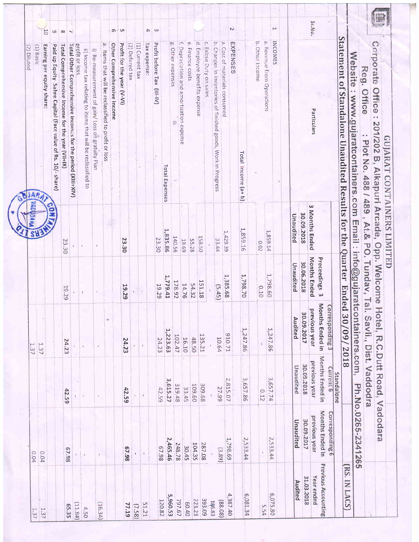| z.<br>1,223.63<br>10.71<br>135.21<br>102.47<br>48.50<br>10.64<br>16.10<br>24.23<br>24.23<br>24.23<br>1.37<br>$\mathbf{L}$<br>2,815.07<br>3,615.27<br>309.68<br>319.48<br>109.60<br>33.45<br>27.99<br>42.59<br>42.59<br>42.59<br>$\mathbf{t}$<br>ä<br>$\langle \mathbf{f} \rangle$<br>1,798.69<br>2,465.46<br>248.78<br>104.35<br>287.08 | 140.56<br>158,50<br>23.30<br>23.30<br>33.44<br>55.28<br>18.69<br>23.30<br>1,385.68<br>1,779.41<br>151.18<br>178.92<br>14.76<br>54.32<br>19.29<br>19.29<br>19.29<br>(5.45)<br>P. | 웜<br>1,835.86                   | f. Depreciation and amortization expense<br>d. Employee benefits expense<br>$\ddot{\Omega}$<br>e. Finance costs<br>g. Other expenses<br>Profit before Tax (III-IV)<br>Tax expense:<br>$\tilde{\sigma}$<br>Other Comprehensive Income<br>Profit for the year (V-VI)<br>(1) Current tax<br>(2) Defered tax<br>Total Other Comprehensive Incomes for the period (XIII+XIV)<br>profit or loss<br>Earning per equity share:<br>Paid up Equity Sahre Capital (Face value of Rs. 10/- share)<br>Total Comprehensive Income for the year (VII+IX)<br>(1) Basic<br>Exicse Duty on sales<br>ii) Income tax relating to items that will be reclassified to<br>i) Re-measurement of gain/ Loss on gratuity Pian<br>Items that will be reclassified to profit or loss<br>Total Expenses<br><b>NJAR</b> | $\omega$<br>4<br>5C<br><b>U1</b><br>$\sigma$<br>$\overline{\phantom{a}}$<br>6<br>$\infty$ |
|-----------------------------------------------------------------------------------------------------------------------------------------------------------------------------------------------------------------------------------------------------------------------------------------------------------------------------------------|---------------------------------------------------------------------------------------------------------------------------------------------------------------------------------|---------------------------------|-------------------------------------------------------------------------------------------------------------------------------------------------------------------------------------------------------------------------------------------------------------------------------------------------------------------------------------------------------------------------------------------------------------------------------------------------------------------------------------------------------------------------------------------------------------------------------------------------------------------------------------------------------------------------------------------------------------------------------------------------------------------------------------------|-------------------------------------------------------------------------------------------|
|                                                                                                                                                                                                                                                                                                                                         |                                                                                                                                                                                 |                                 |                                                                                                                                                                                                                                                                                                                                                                                                                                                                                                                                                                                                                                                                                                                                                                                           |                                                                                           |
|                                                                                                                                                                                                                                                                                                                                         |                                                                                                                                                                                 |                                 |                                                                                                                                                                                                                                                                                                                                                                                                                                                                                                                                                                                                                                                                                                                                                                                           |                                                                                           |
|                                                                                                                                                                                                                                                                                                                                         |                                                                                                                                                                                 |                                 |                                                                                                                                                                                                                                                                                                                                                                                                                                                                                                                                                                                                                                                                                                                                                                                           |                                                                                           |
|                                                                                                                                                                                                                                                                                                                                         |                                                                                                                                                                                 |                                 |                                                                                                                                                                                                                                                                                                                                                                                                                                                                                                                                                                                                                                                                                                                                                                                           |                                                                                           |
|                                                                                                                                                                                                                                                                                                                                         |                                                                                                                                                                                 |                                 |                                                                                                                                                                                                                                                                                                                                                                                                                                                                                                                                                                                                                                                                                                                                                                                           |                                                                                           |
|                                                                                                                                                                                                                                                                                                                                         |                                                                                                                                                                                 |                                 |                                                                                                                                                                                                                                                                                                                                                                                                                                                                                                                                                                                                                                                                                                                                                                                           |                                                                                           |
|                                                                                                                                                                                                                                                                                                                                         |                                                                                                                                                                                 |                                 |                                                                                                                                                                                                                                                                                                                                                                                                                                                                                                                                                                                                                                                                                                                                                                                           |                                                                                           |
|                                                                                                                                                                                                                                                                                                                                         |                                                                                                                                                                                 |                                 |                                                                                                                                                                                                                                                                                                                                                                                                                                                                                                                                                                                                                                                                                                                                                                                           |                                                                                           |
|                                                                                                                                                                                                                                                                                                                                         |                                                                                                                                                                                 |                                 |                                                                                                                                                                                                                                                                                                                                                                                                                                                                                                                                                                                                                                                                                                                                                                                           |                                                                                           |
|                                                                                                                                                                                                                                                                                                                                         |                                                                                                                                                                                 |                                 |                                                                                                                                                                                                                                                                                                                                                                                                                                                                                                                                                                                                                                                                                                                                                                                           |                                                                                           |
|                                                                                                                                                                                                                                                                                                                                         |                                                                                                                                                                                 |                                 |                                                                                                                                                                                                                                                                                                                                                                                                                                                                                                                                                                                                                                                                                                                                                                                           |                                                                                           |
|                                                                                                                                                                                                                                                                                                                                         |                                                                                                                                                                                 |                                 |                                                                                                                                                                                                                                                                                                                                                                                                                                                                                                                                                                                                                                                                                                                                                                                           |                                                                                           |
|                                                                                                                                                                                                                                                                                                                                         |                                                                                                                                                                                 |                                 |                                                                                                                                                                                                                                                                                                                                                                                                                                                                                                                                                                                                                                                                                                                                                                                           |                                                                                           |
|                                                                                                                                                                                                                                                                                                                                         |                                                                                                                                                                                 |                                 |                                                                                                                                                                                                                                                                                                                                                                                                                                                                                                                                                                                                                                                                                                                                                                                           |                                                                                           |
|                                                                                                                                                                                                                                                                                                                                         |                                                                                                                                                                                 |                                 |                                                                                                                                                                                                                                                                                                                                                                                                                                                                                                                                                                                                                                                                                                                                                                                           |                                                                                           |
|                                                                                                                                                                                                                                                                                                                                         |                                                                                                                                                                                 |                                 |                                                                                                                                                                                                                                                                                                                                                                                                                                                                                                                                                                                                                                                                                                                                                                                           |                                                                                           |
|                                                                                                                                                                                                                                                                                                                                         |                                                                                                                                                                                 |                                 |                                                                                                                                                                                                                                                                                                                                                                                                                                                                                                                                                                                                                                                                                                                                                                                           |                                                                                           |
|                                                                                                                                                                                                                                                                                                                                         |                                                                                                                                                                                 |                                 |                                                                                                                                                                                                                                                                                                                                                                                                                                                                                                                                                                                                                                                                                                                                                                                           |                                                                                           |
|                                                                                                                                                                                                                                                                                                                                         |                                                                                                                                                                                 |                                 | b. Changes in inventories of finished goods, Work in Progress                                                                                                                                                                                                                                                                                                                                                                                                                                                                                                                                                                                                                                                                                                                             |                                                                                           |
|                                                                                                                                                                                                                                                                                                                                         |                                                                                                                                                                                 | 1,429.39                        | a. Cost of materials consumed<br>EXPENSE<br>c                                                                                                                                                                                                                                                                                                                                                                                                                                                                                                                                                                                                                                                                                                                                             | N                                                                                         |
| 1,247.86<br>3,657.86<br>2,533.44                                                                                                                                                                                                                                                                                                        | 1,798.70                                                                                                                                                                        | 1,859.16                        | Total Income (a+b)                                                                                                                                                                                                                                                                                                                                                                                                                                                                                                                                                                                                                                                                                                                                                                        |                                                                                           |
| 0.12                                                                                                                                                                                                                                                                                                                                    | 0.02<br>0.10                                                                                                                                                                    |                                 | b. Other Income                                                                                                                                                                                                                                                                                                                                                                                                                                                                                                                                                                                                                                                                                                                                                                           |                                                                                           |
| 1,247.86<br>3,657.74<br>2,533.44                                                                                                                                                                                                                                                                                                        | 1,798.60                                                                                                                                                                        | 1,859.14                        | a. Revenue from Operations                                                                                                                                                                                                                                                                                                                                                                                                                                                                                                                                                                                                                                                                                                                                                                |                                                                                           |
|                                                                                                                                                                                                                                                                                                                                         |                                                                                                                                                                                 |                                 | <b>INCOMES</b>                                                                                                                                                                                                                                                                                                                                                                                                                                                                                                                                                                                                                                                                                                                                                                            | هبع                                                                                       |
| Audited<br>Unaudited<br>Unaudited                                                                                                                                                                                                                                                                                                       | Unaudited                                                                                                                                                                       | Unaudited                       |                                                                                                                                                                                                                                                                                                                                                                                                                                                                                                                                                                                                                                                                                                                                                                                           |                                                                                           |
| 30.09.2017<br>30.09.2018<br>30.09.2017                                                                                                                                                                                                                                                                                                  | 30.06.2018                                                                                                                                                                      | 30.09.2018                      |                                                                                                                                                                                                                                                                                                                                                                                                                                                                                                                                                                                                                                                                                                                                                                                           |                                                                                           |
| Months Ended in<br>previous year<br>Months Ended in<br>previous year<br>Months Ended in<br>previous year                                                                                                                                                                                                                                | <b>Months Ended</b><br>Preceedings 3                                                                                                                                            | $\omega$<br><b>Months Ended</b> | Particulars                                                                                                                                                                                                                                                                                                                                                                                                                                                                                                                                                                                                                                                                                                                                                                               | Sr.No.                                                                                    |
| Corresponding 3<br>Current 6<br>Standalone<br>Corresponding 6                                                                                                                                                                                                                                                                           |                                                                                                                                                                                 |                                 |                                                                                                                                                                                                                                                                                                                                                                                                                                                                                                                                                                                                                                                                                                                                                                                           |                                                                                           |
| <b>Ended</b><br>30/09/<br>2018                                                                                                                                                                                                                                                                                                          |                                                                                                                                                                                 |                                 | Statement of Standalone Unaudited Results for the Quarter                                                                                                                                                                                                                                                                                                                                                                                                                                                                                                                                                                                                                                                                                                                                 |                                                                                           |
| Ph.No.0265-2341265                                                                                                                                                                                                                                                                                                                      |                                                                                                                                                                                 |                                 | Website : www.gujaratcontainers.com Email : info@gujaratcontainers.com,                                                                                                                                                                                                                                                                                                                                                                                                                                                                                                                                                                                                                                                                                                                   |                                                                                           |
| Savli., Dist. Vaddodra                                                                                                                                                                                                                                                                                                                  |                                                                                                                                                                                 |                                 | Reg. Office<br>Plot No. 488 / 489, At.& PO. Tundav, Tal.                                                                                                                                                                                                                                                                                                                                                                                                                                                                                                                                                                                                                                                                                                                                  |                                                                                           |
|                                                                                                                                                                                                                                                                                                                                         |                                                                                                                                                                                 |                                 | Corporate Office : 201/202 B, Alkapuri Arcade, Opp. Welcome Hotel, R.C.Dutt Road, Vadodara                                                                                                                                                                                                                                                                                                                                                                                                                                                                                                                                                                                                                                                                                                |                                                                                           |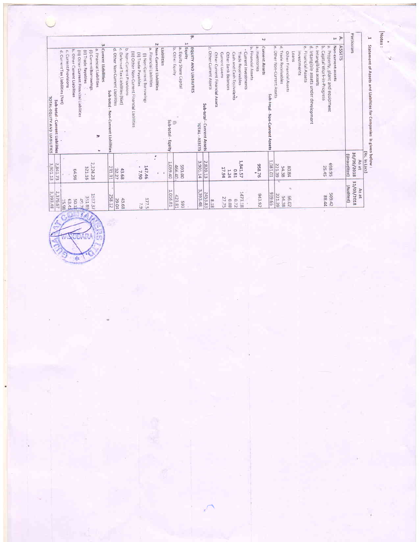| ìн     | Statement of Assets and Liabilities for Companies is given below :    | (Rs. In Lacs)                      |                                  |
|--------|-----------------------------------------------------------------------|------------------------------------|----------------------------------|
|        | Particulars                                                           | 30/09/2018<br>(Unaudited)<br>As at | 31/03/2018<br>(Audited)<br>As at |
| Þ      | <b>ASSETS</b>                                                         |                                    |                                  |
| F      | Non-current assets                                                    |                                    |                                  |
|        | a. Property, plant and equipment                                      | 56'8'92<br>25.45                   | 509.42<br>28.44                  |
|        | b. Capital Work-in-Progress<br>Intangibles assets                     |                                    |                                  |
|        | ø.<br>Intangible assets under development                             |                                    |                                  |
|        | ęp<br>Financial Assets                                                |                                    |                                  |
|        | investments                                                           |                                    |                                  |
|        | Loans                                                                 |                                    |                                  |
|        | Other Financial Assets                                                | 80.84                              | $\mathcal{H}_0$<br>E6.02         |
|        | d, Trade Receivables                                                  | 54.38                              | 221.39<br>54.38                  |
|        | e. Other Non-Current Assets                                           | 1,081.01<br>221.39                 | 939.65                           |
|        | Sub-total - Non-Cunrent Assets                                        |                                    |                                  |
| $\sim$ | <b>Cunrent Assets</b>                                                 |                                    | 943.92                           |
|        | a. Inventories<br>b. Financial Assetts                                | 928.76                             |                                  |
|        | - Current Investments                                                 |                                    |                                  |
|        | Trade Receivables                                                     | 1,841.57                           | 1473.18                          |
|        | Cash and Cash Equivalents                                             | <b>L6.</b>                         | 0.72                             |
|        | Other Bank Balances                                                   | 17.94<br>1.24                      | 27.75<br>0.08                    |
|        | Current Loans<br>Other Current Financial Assets                       |                                    |                                  |
|        | n<br>Other Current Assets                                             |                                    | 81.8                             |
|        | Sub-total - Cunrent Assets                                            | 2,820.13                           | 2453.83                          |
|        | TOTAL - ASSETS                                                        | 3,901.14                           | 3,393.48                         |
| œ,     | EQUITY AND LIABILITIES                                                |                                    |                                  |
|        | p.a.<br>Equity                                                        |                                    |                                  |
|        | a. Equity Share Capital                                               | 593.00                             | 423.81<br>565                    |
|        | b. Other Equity<br>Sub-total - Equity                                 | 1,059.40<br>466.40                 | 1,016.81                         |
|        |                                                                       |                                    |                                  |
|        | Ñ<br>Non-Current Liabilities<br>Liabilities                           |                                    |                                  |
|        | a. Financial Liabilities                                              | ٠                                  |                                  |
|        | (i) Non-Current Borrowing:                                            | 147.46                             | <b>177.5</b>                     |
|        | (ii) Trade Payables                                                   | ٠<br>7.90                          | 7.9                              |
|        | (iii) Other Non-Current Financial Liabilities                         |                                    |                                  |
|        | b. Non-Current Provisions                                             | 43.68                              | 43.68                            |
|        | c. Deferred Tax Liabilities (Net)<br>d. Other Non-Current Liabilities | 32.27                              | 29.04                            |
|        | Sub-total -<br>Non-Cunrent Liabilities                                | 231.31                             | 258.12                           |
|        | $\omega$<br><b>Current Liabilities</b><br>w                           |                                    |                                  |
|        | a. Financial Liabilities<br>(i) Current Borrowings<br>Þ               | 2,224.28                           | 1587.37                          |
|        | (ii) Trade Payables                                                   | 321.16                             | <b>35189</b>                     |
|        | (III) Other Current Financial Liabilities                             |                                    | 4078                             |
|        | b. Other Current Liabilities                                          | 64.98                              | 10.11<br>63.41                   |
|        | e. Current Provisions                                                 |                                    | 15.98                            |
|        | d. Current Tax Liabilities (Net)                                      | 2,841.73                           | 2,376.67                         |
|        | Sub-total - Cunrent Liabilities<br>conno.<br>AND IN THE               | <b>2 001 13</b>                    | 3 393 48                         |

ᅘ| ١ŏ ODARA  $\frac{1}{2}$ 

Motes :

ĥ,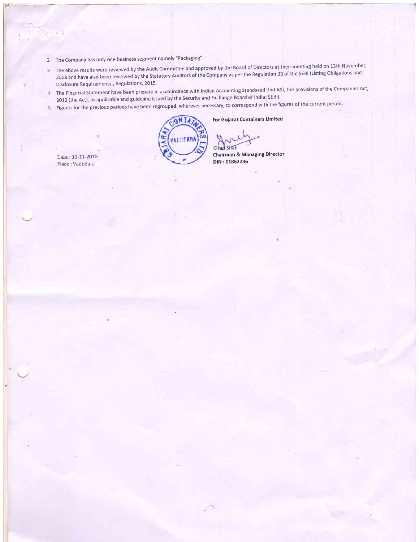- 2 The Company has only one business segment namely "Packaging"
- The above results were reviewed by the Audit Committee and approved by the Board of Directors at their meeting held on 13th November'<br>3. The above results were reviewed by the Audit Committee and approved by the Board of D 2O1g and have also been reviewed by the statutorv Auditors of the company as per the Regulation 33 of the sEBl (Listing obligations and Disclosure Requirements), Regulations, 2015'
- 4 The Financial Statement have been prepare in accourdance with Indian Accounting Standared (Ind AS), the provisions of the Companies Act, 2013 (the Act), as applicable and guideline issued by the Security and Exchange Board of India (SEBI)
- 5 Figures for the previous periods have been regrouped. wherever necessary, to correspond with the figures of the current period.

**9NT** æ VADODAR

For Guiarat Containers Limited

Kirad Shah

Chairman & Managing Director DIN :01862236

Date : 13-11-2018 Place : Vadodara